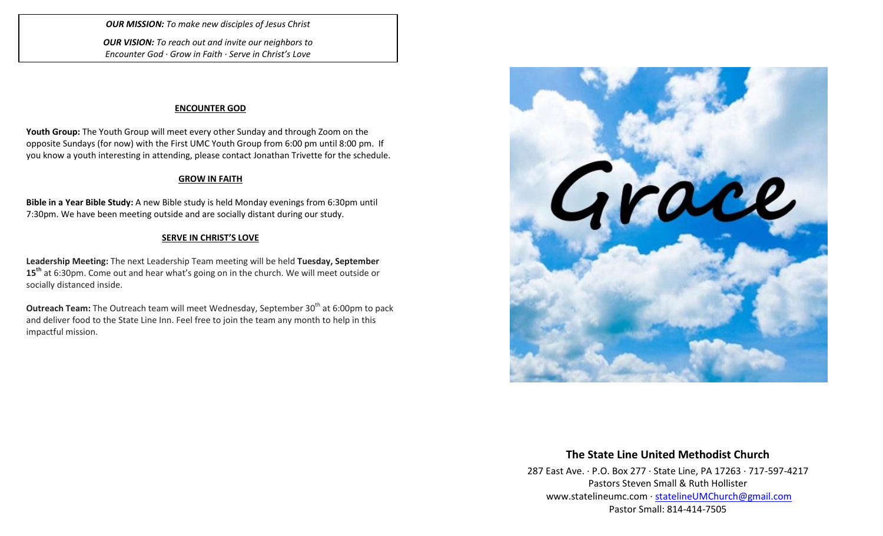*OUR MISSION: To make new disciples of Jesus Christ*

*OUR VISION: To reach out and invite our neighbors to Encounter God · Grow in Faith · Serve in Christ's Love*

#### **ENCOUNTER GOD**

**Youth Group:** The Youth Group will meet every other Sunday and through Zoom on the opposite Sundays (for now) with the First UMC Youth Group from 6:00 pm until 8:00 pm. If you know a youth interesting in attending, please contact Jonathan Trivette for the schedule.

### **GROW IN FAITH**

**Bible in a Year Bible Study:** A new Bible study is held Monday evenings from 6:30pm until 7:30pm. We have been meeting outside and are socially distant during our study.

### **SERVE IN CHRIST'S LOVE**

**Leadership Meeting:** The next Leadership Team meeting will be held **Tuesday, September 15th** at 6:30pm. Come out and hear what's going on in the church. We will meet outside or socially distanced inside.

**Outreach Team:** The Outreach team will meet Wednesday, September 30<sup>th</sup> at 6:00pm to pack and deliver food to the State Line Inn. Feel free to join the team any month to help in this impactful mission.



## **The State Line United Methodist Church**

287 East Ave. · P.O. Box 277 · State Line, PA 17263 · 717-597-4217 Pastors Steven Small & Ruth Hollister [www.statelineumc.com](http://www.statelineumc.com/) · [statelineUMChurch@gmail.com](mailto:statelineUMChurch@gmail.com) Pastor Small: 814-414-7505